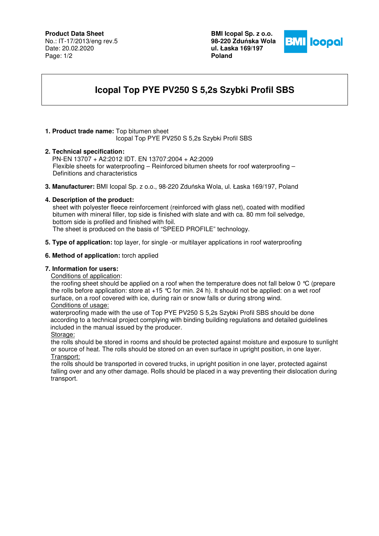# **Product Data Sheet**

No.: IT-17/2013/eng rev.5 Date: 20.02.2020 Page: 1/2

**BMI Icopal Sp. z o.o. 98-220 Zdu**ń**ska Wola ul. Łaska 169/197 Poland** 



# **Icopal Top PYE PV250 S 5,2s Szybki Profil SBS**

# **1. Product trade name:** Top bitumen sheet

Icopal Top PYE PV250 S 5,2s Szybki Profil SBS

## **2. Technical specification:**

PN-EN 13707 + A2:2012 IDT. EN 13707:2004 + A2:2009 Flexible sheets for waterproofing – Reinforced bitumen sheets for roof waterproofing – Definitions and characteristics

**3. Manufacturer:** BMI Icopal Sp. z o.o., 98-220 Zduńska Wola, ul. Łaska 169/197, Poland

## **4. Description of the product:**

 sheet with polyester fleece reinforcement (reinforced with glass net), coated with modified bitumen with mineral filler, top side is finished with slate and with ca. 80 mm foil selvedge, bottom side is profiled and finished with foil.

The sheet is produced on the basis of "SPEED PROFILE" technology.

**5. Type of application:** top layer, for single -or multilayer applications in roof waterproofing

#### **6. Method of application:** torch applied

# **7. Information for users:**

#### Conditions of application:

the roofing sheet should be applied on a roof when the temperature does not fall below 0 °C (prepare the rolls before application: store at  $+15$  °C for min. 24 h). It should not be applied: on a wet roof surface, on a roof covered with ice, during rain or snow falls or during strong wind. Conditions of usage:

 waterproofing made with the use of Top PYE PV250 S 5,2s Szybki Profil SBS should be done according to a technical project complying with binding building regulations and detailed guidelines included in the manual issued by the producer.

#### Storage:

the rolls should be stored in rooms and should be protected against moisture and exposure to sunlight or source of heat. The rolls should be stored on an even surface in upright position, in one layer. Transport:

the rolls should be transported in covered trucks, in upright position in one layer, protected against falling over and any other damage. Rolls should be placed in a way preventing their dislocation during transport.